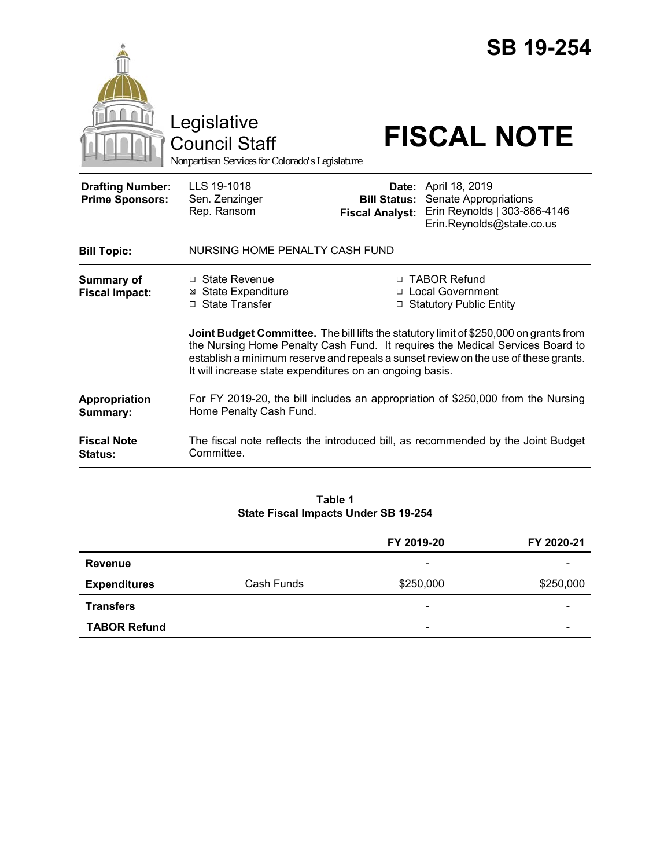|                                                   | Legislative<br><b>Council Staff</b><br>Nonpartisan Services for Colorado's Legislature                                                                                                                                                                                                                                     |                                               | <b>SB 19-254</b><br><b>FISCAL NOTE</b>                                                                            |  |
|---------------------------------------------------|----------------------------------------------------------------------------------------------------------------------------------------------------------------------------------------------------------------------------------------------------------------------------------------------------------------------------|-----------------------------------------------|-------------------------------------------------------------------------------------------------------------------|--|
| <b>Drafting Number:</b><br><b>Prime Sponsors:</b> | LLS 19-1018<br>Sen. Zenzinger<br>Rep. Ransom                                                                                                                                                                                                                                                                               | <b>Bill Status:</b><br><b>Fiscal Analyst:</b> | <b>Date:</b> April 18, 2019<br>Senate Appropriations<br>Erin Reynolds   303-866-4146<br>Erin.Reynolds@state.co.us |  |
| <b>Bill Topic:</b>                                | NURSING HOME PENALTY CASH FUND                                                                                                                                                                                                                                                                                             |                                               |                                                                                                                   |  |
| <b>Summary of</b><br><b>Fiscal Impact:</b>        | $\Box$ State Revenue<br>⊠ State Expenditure<br>□ State Transfer                                                                                                                                                                                                                                                            |                                               | □ TABOR Refund<br>□ Local Government<br>□ Statutory Public Entity                                                 |  |
|                                                   | Joint Budget Committee. The bill lifts the statutory limit of \$250,000 on grants from<br>the Nursing Home Penalty Cash Fund. It requires the Medical Services Board to<br>establish a minimum reserve and repeals a sunset review on the use of these grants.<br>It will increase state expenditures on an ongoing basis. |                                               |                                                                                                                   |  |
| Appropriation<br>Summary:                         | For FY 2019-20, the bill includes an appropriation of \$250,000 from the Nursing<br>Home Penalty Cash Fund.                                                                                                                                                                                                                |                                               |                                                                                                                   |  |
| <b>Fiscal Note</b><br><b>Status:</b>              | The fiscal note reflects the introduced bill, as recommended by the Joint Budget<br>Committee.                                                                                                                                                                                                                             |                                               |                                                                                                                   |  |

#### **Table 1 State Fiscal Impacts Under SB 19-254**

|                     |            | FY 2019-20               | FY 2020-21 |
|---------------------|------------|--------------------------|------------|
| <b>Revenue</b>      |            | $\overline{\phantom{0}}$ |            |
| <b>Expenditures</b> | Cash Funds | \$250,000                | \$250,000  |
| <b>Transfers</b>    |            | $\overline{\phantom{a}}$ | -          |
| <b>TABOR Refund</b> |            | $\overline{\phantom{0}}$ |            |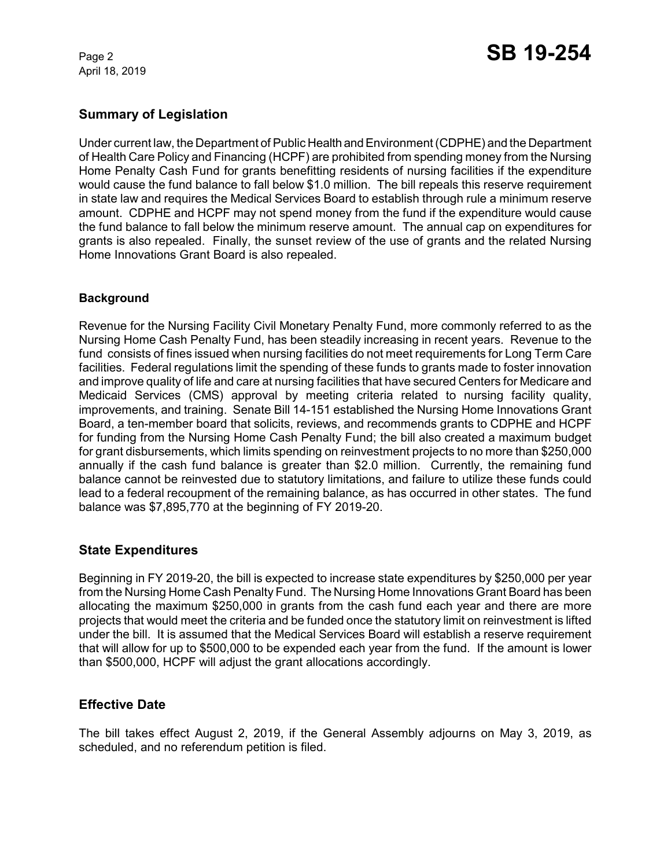April 18, 2019

## **Summary of Legislation**

Under current law, the Department of Public Health and Environment (CDPHE) and the Department of Health Care Policy and Financing (HCPF) are prohibited from spending money from the Nursing Home Penalty Cash Fund for grants benefitting residents of nursing facilities if the expenditure would cause the fund balance to fall below \$1.0 million. The bill repeals this reserve requirement in state law and requires the Medical Services Board to establish through rule a minimum reserve amount. CDPHE and HCPF may not spend money from the fund if the expenditure would cause the fund balance to fall below the minimum reserve amount. The annual cap on expenditures for grants is also repealed. Finally, the sunset review of the use of grants and the related Nursing Home Innovations Grant Board is also repealed.

#### **Background**

Revenue for the Nursing Facility Civil Monetary Penalty Fund, more commonly referred to as the Nursing Home Cash Penalty Fund, has been steadily increasing in recent years. Revenue to the fund consists of fines issued when nursing facilities do not meet requirements for Long Term Care facilities. Federal regulations limit the spending of these funds to grants made to foster innovation and improve quality of life and care at nursing facilities that have secured Centers for Medicare and Medicaid Services (CMS) approval by meeting criteria related to nursing facility quality, improvements, and training. Senate Bill 14-151 established the Nursing Home Innovations Grant Board, a ten-member board that solicits, reviews, and recommends grants to CDPHE and HCPF for funding from the Nursing Home Cash Penalty Fund; the bill also created a maximum budget for grant disbursements, which limits spending on reinvestment projects to no more than \$250,000 annually if the cash fund balance is greater than \$2.0 million. Currently, the remaining fund balance cannot be reinvested due to statutory limitations, and failure to utilize these funds could lead to a federal recoupment of the remaining balance, as has occurred in other states. The fund balance was \$7,895,770 at the beginning of FY 2019-20.

## **State Expenditures**

Beginning in FY 2019-20, the bill is expected to increase state expenditures by \$250,000 per year from the Nursing Home Cash Penalty Fund. The Nursing Home Innovations Grant Board has been allocating the maximum \$250,000 in grants from the cash fund each year and there are more projects that would meet the criteria and be funded once the statutory limit on reinvestment is lifted under the bill. It is assumed that the Medical Services Board will establish a reserve requirement that will allow for up to \$500,000 to be expended each year from the fund. If the amount is lower than \$500,000, HCPF will adjust the grant allocations accordingly.

## **Effective Date**

The bill takes effect August 2, 2019, if the General Assembly adjourns on May 3, 2019, as scheduled, and no referendum petition is filed.